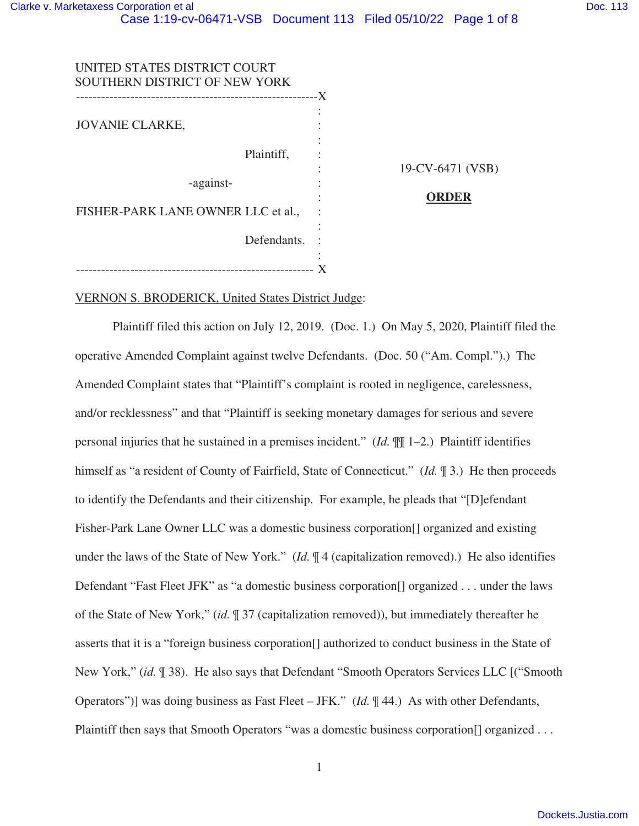| DOC. 113 |  |
|----------|--|
|          |  |
|          |  |

 $1$  (VSB)

| UNITED STATES DISTRICT COURT<br>SOUTHERN DISTRICT OF NEW YORK |              |
|---------------------------------------------------------------|--------------|
|                                                               | -X           |
| <b>JOVANIE CLARKE,</b>                                        |              |
| Plaintiff,                                                    | 19-CV-6471 ( |
| -against-                                                     |              |
| FISHER-PARK LANE OWNER LLC et al.,                            | ORDER        |
| Defendants.                                                   |              |
|                                                               |              |

# VERNON S. BRODERICK, United States District Judge:

Plaintiff filed this action on July 12, 2019. (Doc. 1.) On May 5, 2020, Plaintiff filed the operative Amended Complaint against twelve Defendants. (Doc. 50 ("Am. Compl.").) The Amended Complaint states that "Plaintiff's complaint is rooted in negligence, carelessness, and/or recklessness" and that "Plaintiff is seeking monetary damages for serious and severe personal injuries that he sustained in a premises incident." (*Id.* ¶¶ 1–2.) Plaintiff identifies himself as "a resident of County of Fairfield, State of Connecticut." (*Id.*  $\mathbb{I}$  3.) He then proceeds to identify the Defendants and their citizenship. For example, he pleads that "[D]efendant Fisher-Park Lane Owner LLC was a domestic business corporation[] organized and existing under the laws of the State of New York." (*Id.* ¶ 4 (capitalization removed).) He also identifies Defendant "Fast Fleet JFK" as "a domestic business corporation[] organized . . . under the laws of the State of New York," (*id.* ¶ 37 (capitalization removed)), but immediately thereafter he asserts that it is a "foreign business corporation[] authorized to conduct business in the State of New York," (*id.* ¶ 38). He also says that Defendant "Smooth Operators Services LLC [("Smooth Operators")] was doing business as Fast Fleet – JFK." (*Id.*  $\P$  44.) As with other Defendants, Plaintiff then says that Smooth Operators "was a domestic business corporation<sup>[]</sup> organized . . .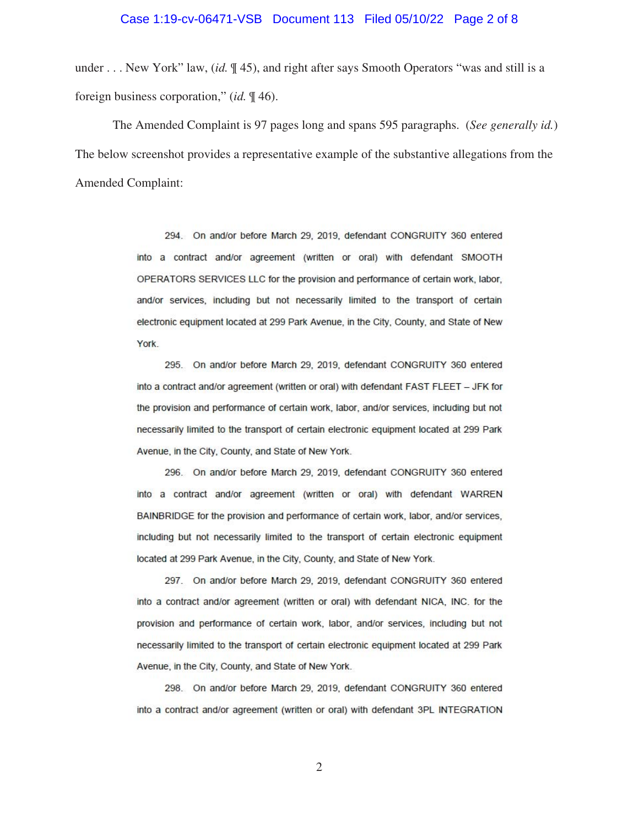#### Case 1:19-cv-06471-VSB Document 113 Filed 05/10/22 Page 2 of 8

under . . . New York" law, (*id.* ¶ 45), and right after says Smooth Operators "was and still is a foreign business corporation," (*id.* ¶ 46).

The Amended Complaint is 97 pages long and spans 595 paragraphs. (*See generally id.*) The below screenshot provides a representative example of the substantive allegations from the Amended Complaint:

> 294. On and/or before March 29, 2019, defendant CONGRUITY 360 entered into a contract and/or agreement (written or oral) with defendant SMOOTH OPERATORS SERVICES LLC for the provision and performance of certain work, labor, and/or services, including but not necessarily limited to the transport of certain electronic equipment located at 299 Park Avenue, in the City, County, and State of New York.

> 295. On and/or before March 29, 2019, defendant CONGRUITY 360 entered into a contract and/or agreement (written or oral) with defendant FAST FLEET - JFK for the provision and performance of certain work, labor, and/or services, including but not necessarily limited to the transport of certain electronic equipment located at 299 Park Avenue, in the City, County, and State of New York.

> 296. On and/or before March 29, 2019, defendant CONGRUITY 360 entered into a contract and/or agreement (written or oral) with defendant WARREN BAINBRIDGE for the provision and performance of certain work, labor, and/or services, including but not necessarily limited to the transport of certain electronic equipment located at 299 Park Avenue, in the City, County, and State of New York.

> 297. On and/or before March 29, 2019, defendant CONGRUITY 360 entered into a contract and/or agreement (written or oral) with defendant NICA, INC. for the provision and performance of certain work, labor, and/or services, including but not necessarily limited to the transport of certain electronic equipment located at 299 Park Avenue, in the City, County, and State of New York.

> 298. On and/or before March 29, 2019, defendant CONGRUITY 360 entered into a contract and/or agreement (written or oral) with defendant 3PL INTEGRATION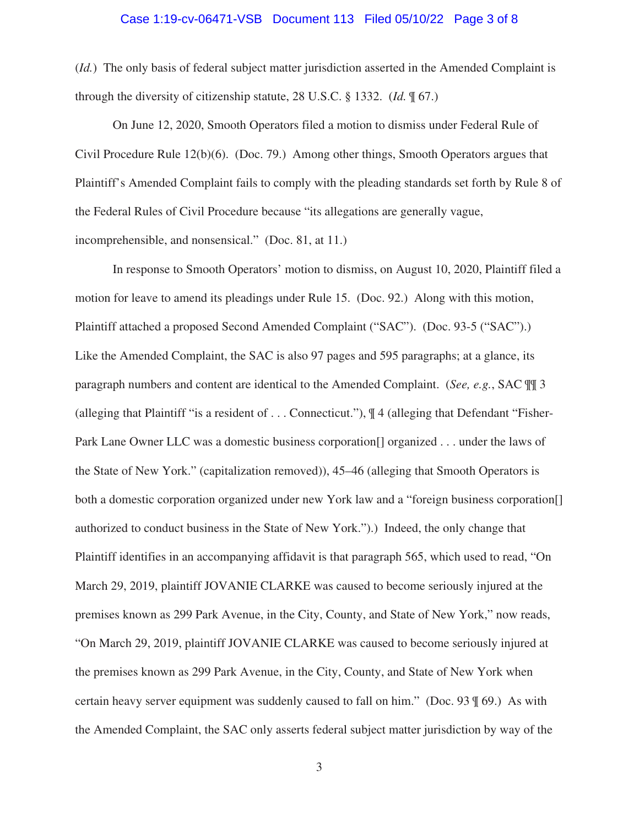### Case 1:19-cv-06471-VSB Document 113 Filed 05/10/22 Page 3 of 8

(*Id.*) The only basis of federal subject matter jurisdiction asserted in the Amended Complaint is through the diversity of citizenship statute, 28 U.S.C. § 1332. (*Id.* ¶ 67.)

On June 12, 2020, Smooth Operators filed a motion to dismiss under Federal Rule of Civil Procedure Rule 12(b)(6). (Doc. 79.) Among other things, Smooth Operators argues that Plaintiff's Amended Complaint fails to comply with the pleading standards set forth by Rule 8 of the Federal Rules of Civil Procedure because "its allegations are generally vague, incomprehensible, and nonsensical." (Doc. 81, at 11.)

In response to Smooth Operators' motion to dismiss, on August 10, 2020, Plaintiff filed a motion for leave to amend its pleadings under Rule 15. (Doc. 92.) Along with this motion, Plaintiff attached a proposed Second Amended Complaint ("SAC"). (Doc. 93-5 ("SAC").) Like the Amended Complaint, the SAC is also 97 pages and 595 paragraphs; at a glance, its paragraph numbers and content are identical to the Amended Complaint. (*See, e.g.*, SAC ¶¶ 3 (alleging that Plaintiff "is a resident of . . . Connecticut."), ¶ 4 (alleging that Defendant "Fisher-Park Lane Owner LLC was a domestic business corporation[] organized . . . under the laws of the State of New York." (capitalization removed)), 45–46 (alleging that Smooth Operators is both a domestic corporation organized under new York law and a "foreign business corporation[] authorized to conduct business in the State of New York.").) Indeed, the only change that Plaintiff identifies in an accompanying affidavit is that paragraph 565, which used to read, "On March 29, 2019, plaintiff JOVANIE CLARKE was caused to become seriously injured at the premises known as 299 Park Avenue, in the City, County, and State of New York," now reads, "On March 29, 2019, plaintiff JOVANIE CLARKE was caused to become seriously injured at the premises known as 299 Park Avenue, in the City, County, and State of New York when certain heavy server equipment was suddenly caused to fall on him." (Doc. 93 ¶ 69.) As with the Amended Complaint, the SAC only asserts federal subject matter jurisdiction by way of the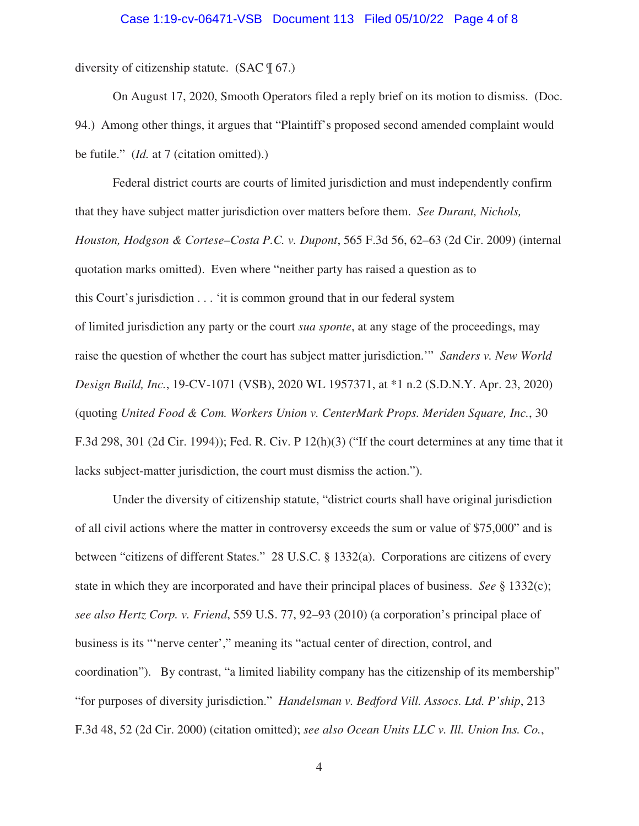### Case 1:19-cv-06471-VSB Document 113 Filed 05/10/22 Page 4 of 8

diversity of citizenship statute. (SAC ¶ 67.)

On August 17, 2020, Smooth Operators filed a reply brief on its motion to dismiss. (Doc. 94.) Among other things, it argues that "Plaintiff's proposed second amended complaint would be futile." (*Id.* at 7 (citation omitted).)

Federal district courts are courts of limited jurisdiction and must independently confirm that they have subject matter jurisdiction over matters before them. *See Durant, Nichols, Houston, Hodgson & Cortese–Costa P.C. v. Dupont*, 565 F.3d 56, 62–63 (2d Cir. 2009) (internal quotation marks omitted). Even where "neither party has raised a question as to this Court's jurisdiction . . . 'it is common ground that in our federal system of limited jurisdiction any party or the court *sua sponte*, at any stage of the proceedings, may raise the question of whether the court has subject matter jurisdiction.'" *Sanders v. New World Design Build, Inc.*, 19-CV-1071 (VSB), 2020 WL 1957371, at \*1 n.2 (S.D.N.Y. Apr. 23, 2020) (quoting *United Food & Com. Workers Union v. CenterMark Props. Meriden Square, Inc.*, 30 F.3d 298, 301 (2d Cir. 1994)); Fed. R. Civ. P 12(h)(3) ("If the court determines at any time that it lacks subject-matter jurisdiction, the court must dismiss the action.").

Under the diversity of citizenship statute, "district courts shall have original jurisdiction of all civil actions where the matter in controversy exceeds the sum or value of \$75,000" and is between "citizens of different States." 28 U.S.C. § 1332(a). Corporations are citizens of every state in which they are incorporated and have their principal places of business. *See* § 1332(c); *see also Hertz Corp. v. Friend*, 559 U.S. 77, 92–93 (2010) (a corporation's principal place of business is its "'nerve center'," meaning its "actual center of direction, control, and coordination"). By contrast, "a limited liability company has the citizenship of its membership" "for purposes of diversity jurisdiction." *Handelsman v. Bedford Vill. Assocs. Ltd. P'ship*, 213 F.3d 48, 52 (2d Cir. 2000) (citation omitted); *see also Ocean Units LLC v. Ill. Union Ins. Co.*,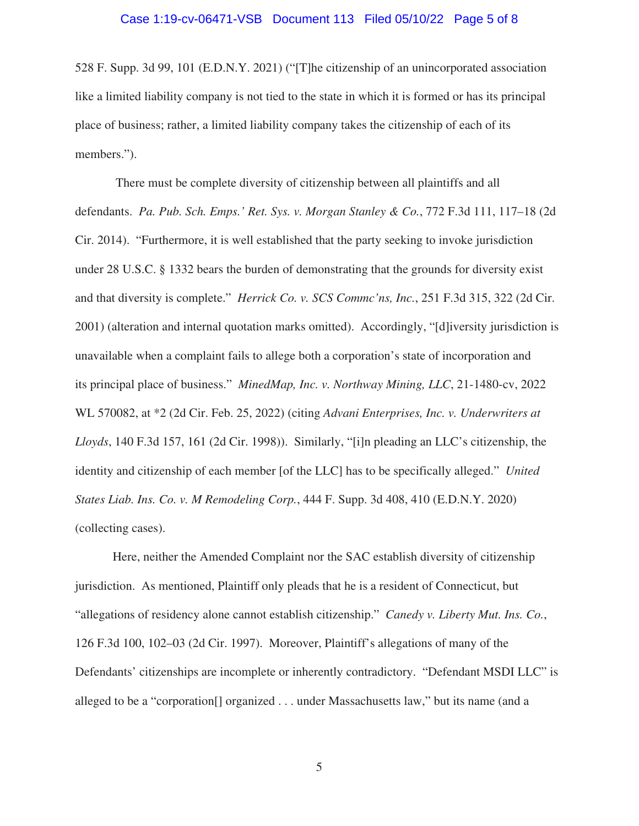### Case 1:19-cv-06471-VSB Document 113 Filed 05/10/22 Page 5 of 8

528 F. Supp. 3d 99, 101 (E.D.N.Y. 2021) ("[T]he citizenship of an unincorporated association like a limited liability company is not tied to the state in which it is formed or has its principal place of business; rather, a limited liability company takes the citizenship of each of its members.").

There must be complete diversity of citizenship between all plaintiffs and all defendants. *Pa. Pub. Sch. Emps.' Ret. Sys. v. Morgan Stanley & Co.*, 772 F.3d 111, 117–18 (2d Cir. 2014). "Furthermore, it is well established that the party seeking to invoke jurisdiction under 28 U.S.C. § 1332 bears the burden of demonstrating that the grounds for diversity exist and that diversity is complete." *Herrick Co. v. SCS Commc'ns, Inc.*, 251 F.3d 315, 322 (2d Cir. 2001) (alteration and internal quotation marks omitted). Accordingly, "[d]iversity jurisdiction is unavailable when a complaint fails to allege both a corporation's state of incorporation and its principal place of business." *MinedMap, Inc. v. Northway Mining, LLC*, 21-1480-cv, 2022 WL 570082, at \*2 (2d Cir. Feb. 25, 2022) (citing *Advani Enterprises, Inc. v. Underwriters at Lloyds*, 140 F.3d 157, 161 (2d Cir. 1998)). Similarly, "[i]n pleading an LLC's citizenship, the identity and citizenship of each member [of the LLC] has to be specifically alleged." *United States Liab. Ins. Co. v. M Remodeling Corp.*, 444 F. Supp. 3d 408, 410 (E.D.N.Y. 2020) (collecting cases).

Here, neither the Amended Complaint nor the SAC establish diversity of citizenship jurisdiction. As mentioned, Plaintiff only pleads that he is a resident of Connecticut, but "allegations of residency alone cannot establish citizenship." *Canedy v. Liberty Mut. Ins. Co.*, 126 F.3d 100, 102–03 (2d Cir. 1997). Moreover, Plaintiff's allegations of many of the Defendants' citizenships are incomplete or inherently contradictory. "Defendant MSDI LLC" is alleged to be a "corporation[] organized . . . under Massachusetts law," but its name (and a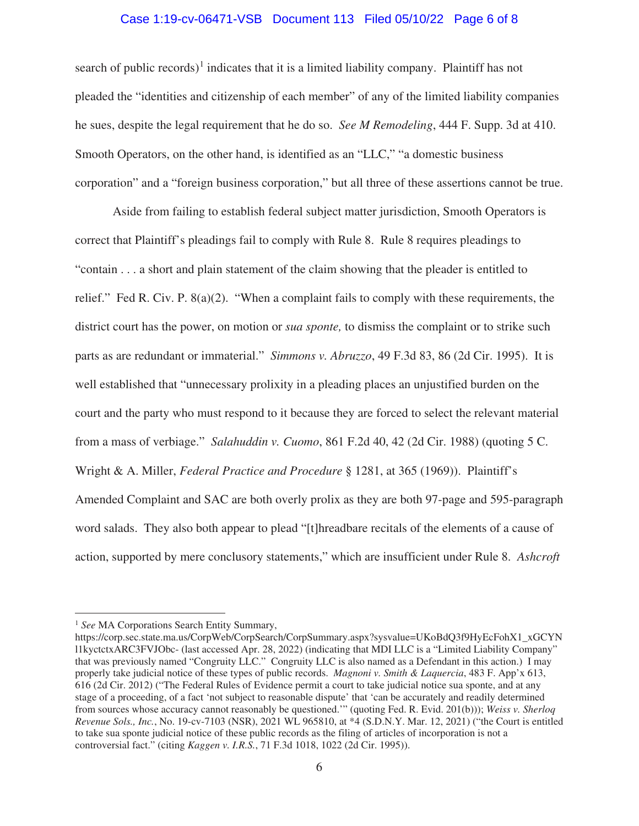## Case 1:19-cv-06471-VSB Document 113 Filed 05/10/22 Page 6 of 8

search of public records)<sup>1</sup> indicates that it is a limited liability company. Plaintiff has not pleaded the "identities and citizenship of each member" of any of the limited liability companies he sues, despite the legal requirement that he do so. *See M Remodeling*, 444 F. Supp. 3d at 410. Smooth Operators, on the other hand, is identified as an "LLC," "a domestic business corporation" and a "foreign business corporation," but all three of these assertions cannot be true.

Aside from failing to establish federal subject matter jurisdiction, Smooth Operators is correct that Plaintiff's pleadings fail to comply with Rule 8. Rule 8 requires pleadings to "contain . . . a short and plain statement of the claim showing that the pleader is entitled to relief." Fed R. Civ. P. 8(a)(2). "When a complaint fails to comply with these requirements, the district court has the power, on motion or *sua sponte,* to dismiss the complaint or to strike such parts as are redundant or immaterial." *Simmons v. Abruzzo*, 49 F.3d 83, 86 (2d Cir. 1995). It is well established that "unnecessary prolixity in a pleading places an unjustified burden on the court and the party who must respond to it because they are forced to select the relevant material from a mass of verbiage." *Salahuddin v. Cuomo*, 861 F.2d 40, 42 (2d Cir. 1988) (quoting 5 C. Wright & A. Miller, *Federal Practice and Procedure* § 1281, at 365 (1969)). Plaintiff's Amended Complaint and SAC are both overly prolix as they are both 97-page and 595-paragraph word salads. They also both appear to plead "[t]hreadbare recitals of the elements of a cause of action, supported by mere conclusory statements," which are insufficient under Rule 8. *Ashcroft* 

<sup>&</sup>lt;sup>1</sup> See MA Corporations Search Entity Summary,

https://corp.sec.state.ma.us/CorpWeb/CorpSearch/CorpSummary.aspx?sysvalue=UKoBdQ3f9HyEcFohX1\_xGCYN l1kyctctxARC3FVJObc- (last accessed Apr. 28, 2022) (indicating that MDI LLC is a "Limited Liability Company" that was previously named "Congruity LLC." Congruity LLC is also named as a Defendant in this action.) I may properly take judicial notice of these types of public records. *Magnoni v. Smith & Laquercia*, 483 F. App'x 613, 616 (2d Cir. 2012) ("The Federal Rules of Evidence permit a court to take judicial notice sua sponte, and at any stage of a proceeding, of a fact 'not subject to reasonable dispute' that 'can be accurately and readily determined from sources whose accuracy cannot reasonably be questioned.'" (quoting Fed. R. Evid. 201(b))); *Weiss v. Sherloq Revenue Sols., Inc.*, No. 19-cv-7103 (NSR), 2021 WL 965810, at \*4 (S.D.N.Y. Mar. 12, 2021) ("the Court is entitled to take sua sponte judicial notice of these public records as the filing of articles of incorporation is not a controversial fact." (citing *Kaggen v. I.R.S.*, 71 F.3d 1018, 1022 (2d Cir. 1995)).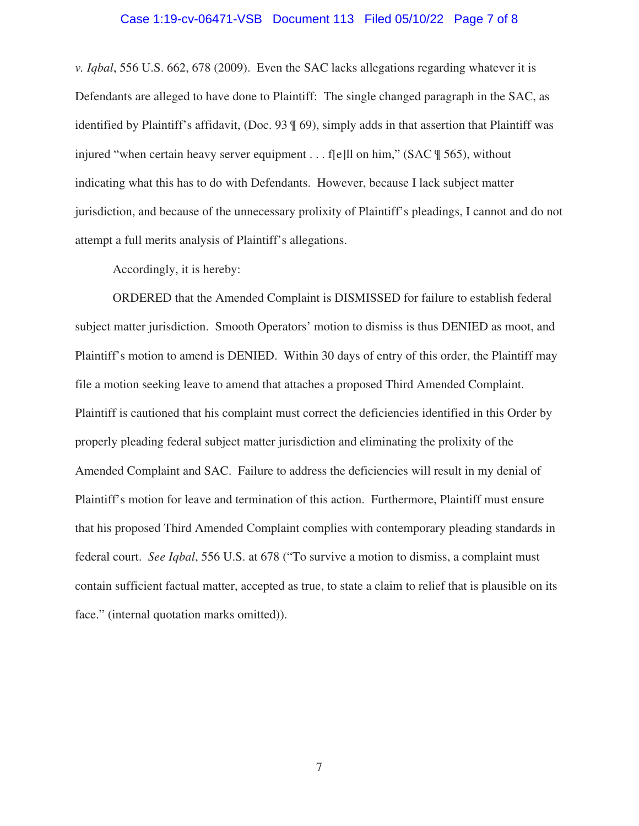### Case 1:19-cv-06471-VSB Document 113 Filed 05/10/22 Page 7 of 8

*v. Iqbal*, 556 U.S. 662, 678 (2009). Even the SAC lacks allegations regarding whatever it is Defendants are alleged to have done to Plaintiff: The single changed paragraph in the SAC, as identified by Plaintiff's affidavit, (Doc. 93 ¶ 69), simply adds in that assertion that Plaintiff was injured "when certain heavy server equipment . . . f[e]ll on him," (SAC \le 565), without indicating what this has to do with Defendants. However, because I lack subject matter jurisdiction, and because of the unnecessary prolixity of Plaintiff's pleadings, I cannot and do not attempt a full merits analysis of Plaintiff's allegations.

Accordingly, it is hereby:

ORDERED that the Amended Complaint is DISMISSED for failure to establish federal subject matter jurisdiction. Smooth Operators' motion to dismiss is thus DENIED as moot, and Plaintiff's motion to amend is DENIED. Within 30 days of entry of this order, the Plaintiff may file a motion seeking leave to amend that attaches a proposed Third Amended Complaint. Plaintiff is cautioned that his complaint must correct the deficiencies identified in this Order by properly pleading federal subject matter jurisdiction and eliminating the prolixity of the Amended Complaint and SAC. Failure to address the deficiencies will result in my denial of Plaintiff's motion for leave and termination of this action. Furthermore, Plaintiff must ensure that his proposed Third Amended Complaint complies with contemporary pleading standards in federal court. *See Iqbal*, 556 U.S. at 678 ("To survive a motion to dismiss, a complaint must contain sufficient factual matter, accepted as true, to state a claim to relief that is plausible on its face." (internal quotation marks omitted)).